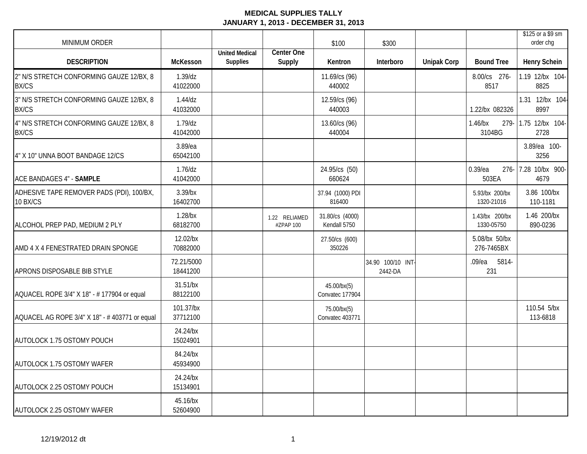| MINIMUM ORDER                                            |                        |                                          |                            | \$100                           | \$300                        |                    |                                | \$125 or a \$9 sm<br>order cha |
|----------------------------------------------------------|------------------------|------------------------------------------|----------------------------|---------------------------------|------------------------------|--------------------|--------------------------------|--------------------------------|
| <b>DESCRIPTION</b>                                       | McKesson               | <b>United Medical</b><br><b>Supplies</b> | Center One<br>Supply       | Kentron                         | Interboro                    | <b>Unipak Corp</b> | <b>Bound Tree</b>              | <b>Henry Schein</b>            |
| 2" N/S STRETCH CONFORMING GAUZE 12/BX, 8<br><b>BX/CS</b> | $1.39$ /dz<br>41022000 |                                          |                            | 11.69/cs (96)<br>440002         |                              |                    | 8.00/cs 276-<br>8517           | 1.19 12/bx 104-<br>8825        |
| 3" N/S STRETCH CONFORMING GAUZE 12/BX, 8<br><b>BX/CS</b> | $1.44$ /dz<br>41032000 |                                          |                            | 12.59/cs (96)<br>440003         |                              |                    | 1.22/bx 082326                 | 1.31 12/bx 104-<br>8997        |
| 4" N/S STRETCH CONFORMING GAUZE 12/BX, 8<br><b>BX/CS</b> | $1.79$ /dz<br>41042000 |                                          |                            | 13.60/cs (96)<br>440004         |                              |                    | $1.46$ /bx<br>279-<br>3104BG   | 1.75 12/bx 104-<br>2728        |
| 4" X 10" UNNA BOOT BANDAGE 12/CS                         | 3.89/ea<br>65042100    |                                          |                            |                                 |                              |                    |                                | 3.89/ea 100-<br>3256           |
| ACE BANDAGES 4" - SAMPLE                                 | $1.76$ /dz<br>41042000 |                                          |                            | 24.95/cs (50)<br>660624         |                              |                    | $0.39$ /ea<br>$276 -$<br>503EA | 7.28 10/bx 900-<br>4679        |
| ADHESIVE TAPE REMOVER PADS (PDI), 100/BX,<br>10 BX/CS    | $3.39$ /bx<br>16402700 |                                          |                            | 37.94 (1000) PDI<br>816400      |                              |                    | 5.93/bx 200/bx<br>1320-21016   | 3.86 100/bx<br>110-1181        |
| ALCOHOL PREP PAD, MEDIUM 2 PLY                           | $1.28$ /bx<br>68182700 |                                          | 1.22 RELIAMED<br>#ZPAP 100 | 31.80/cs (4000)<br>Kendall 5750 |                              |                    | 1.43/bx 200/bx<br>1330-05750   | 1.46 200/bx<br>890-0236        |
| AMD 4 X 4 FENESTRATED DRAIN SPONGE                       | 12.02/bx<br>70882000   |                                          |                            | 27.50/cs (600)<br>350226        |                              |                    | 5.08/bx 50/bx<br>276-7465BX    |                                |
| APRONS DISPOSABLE BIB STYLE                              | 72.21/5000<br>18441200 |                                          |                            |                                 | 34.90 100/10 INT-<br>2442-DA |                    | .09/ea 5814-<br>231            |                                |
| AQUACEL ROPE 3/4" X 18" - # 177904 or equal              | 31.51/bx<br>88122100   |                                          |                            | 45.00/bx(5)<br>Convatec 177904  |                              |                    |                                |                                |
| AQUACEL AG ROPE 3/4" X 18" - # 403771 or equal           | 101.37/bx<br>37712100  |                                          |                            | 75.00/bx(5)<br>Convatec 403771  |                              |                    |                                | 110.54 5/bx<br>113-6818        |
| AUTOLOCK 1.75 OSTOMY POUCH                               | 24.24/bx<br>15024901   |                                          |                            |                                 |                              |                    |                                |                                |
| AUTOLOCK 1.75 OSTOMY WAFER                               | 84.24/bx<br>45934900   |                                          |                            |                                 |                              |                    |                                |                                |
| AUTOLOCK 2.25 OSTOMY POUCH                               | 24.24/bx<br>15134901   |                                          |                            |                                 |                              |                    |                                |                                |
| AUTOLOCK 2.25 OSTOMY WAFER                               | 45.16/bx<br>52604900   |                                          |                            |                                 |                              |                    |                                |                                |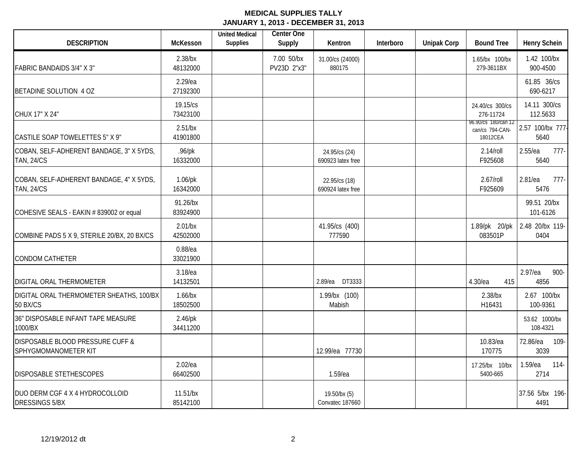| <b>DESCRIPTION</b>                                            | <b>McKesson</b>        | <b>United Medical</b><br><b>Supplies</b> | Center One<br>Supply      | Kentron                            | Interboro | <b>Unipak Corp</b> | <b>Bound Tree</b>                                  | <b>Henry Schein</b>           |
|---------------------------------------------------------------|------------------------|------------------------------------------|---------------------------|------------------------------------|-----------|--------------------|----------------------------------------------------|-------------------------------|
| <b>FABRIC BANDAIDS 3/4" X 3"</b>                              | $2.38$ /bx<br>48132000 |                                          | 7.00 50/bx<br>PV23D 2"x3" | 31.00/cs (24000)<br>880175         |           |                    | 1.65/bx 100/bx<br>279-3611BX                       | 1.42 100/bx<br>900-4500       |
| BETADINE SOLUTION 4 OZ                                        | 2.29/ea<br>27192300    |                                          |                           |                                    |           |                    |                                                    | 61.85 36/cs<br>690-6217       |
| CHUX 17" X 24"                                                | 19.15/cs<br>73423100   |                                          |                           |                                    |           |                    | 24.40/cs 300/cs<br>276-11724                       | 14.11 300/cs<br>112.5633      |
| CASTILE SOAP TOWELETTES 5" X 9"                               | 2.51/bx<br>41901800    |                                          |                           |                                    |           |                    | 96.90/cs 180/can 12<br>can/cs 794-CAN-<br>18012CEA | 2.57 100/bx 777-<br>5640      |
| COBAN, SELF-ADHERENT BANDAGE, 3" X 5YDS,<br><b>TAN, 24/CS</b> | $.96$ /pk<br>16332000  |                                          |                           | 24.95/cs (24)<br>690923 latex free |           |                    | $2.14$ /roll<br>F925608                            | $2.55$ /ea<br>$777-$<br>5640  |
| COBAN, SELF-ADHERENT BANDAGE, 4" X 5YDS,<br><b>TAN, 24/CS</b> | $1.06$ /pk<br>16342000 |                                          |                           | 22.95/cs (18)<br>690924 latex free |           |                    | 2.67/roll<br>F925609                               | 2.81/ea<br>$777-$<br>5476     |
| COHESIVE SEALS - EAKIN # 839002 or equal                      | 91.26/bx<br>83924900   |                                          |                           |                                    |           |                    |                                                    | 99.51 20/bx<br>101-6126       |
| COMBINE PADS 5 X 9, STERILE 20/BX, 20 BX/CS                   | 2.01/bx<br>42502000    |                                          |                           | 41.95/cs (400)<br>777590           |           |                    | 1.89/pk 20/pk<br>083501P                           | 2.48 20/bx 119-<br>0404       |
| <b>CONDOM CATHETER</b>                                        | $0.88$ /ea<br>33021900 |                                          |                           |                                    |           |                    |                                                    |                               |
| DIGITAL ORAL THERMOMETER                                      | 3.18/ea<br>14132501    |                                          |                           | 2.89/ea DT3333                     |           |                    | 4.30/ea<br>415                                     | 2.97/ea<br>900-<br>4856       |
| DIGITAL ORAL THERMOMETER SHEATHS, 100/BX<br><b>50 BX/CS</b>   | $1.66$ /bx<br>18502500 |                                          |                           | 1.99/bx (100)<br>Mabish            |           |                    | $2.38$ /bx<br>H16431                               | 2.67 100/bx<br>100-9361       |
| 36" DISPOSABLE INFANT TAPE MEASURE<br>1000/BX                 | $2.46$ /pk<br>34411200 |                                          |                           |                                    |           |                    |                                                    | 53.62 1000/bx<br>108-4321     |
| DISPOSABLE BLOOD PRESSURE CUFF &<br>SPHYGMOMANOMETER KIT      |                        |                                          |                           | 12.99/ea 77730                     |           |                    | 10.83/ea<br>170775                                 | 72.86/ea<br>109-<br>3039      |
| DISPOSABLE STETHESCOPES                                       | $2.02$ /ea<br>66402500 |                                          |                           | 1.59/ea                            |           |                    | 17.25/bx 10/bx<br>5400-665                         | $1.59$ /ea<br>$114 -$<br>2714 |
| DUO DERM CGF 4 X 4 HYDROCOLLOID<br><b>DRESSINGS 5/BX</b>      | 11.51/bx<br>85142100   |                                          |                           | 19.50/bx (5)<br>Convatec 187660    |           |                    |                                                    | 37.56 5/bx 196-<br>4491       |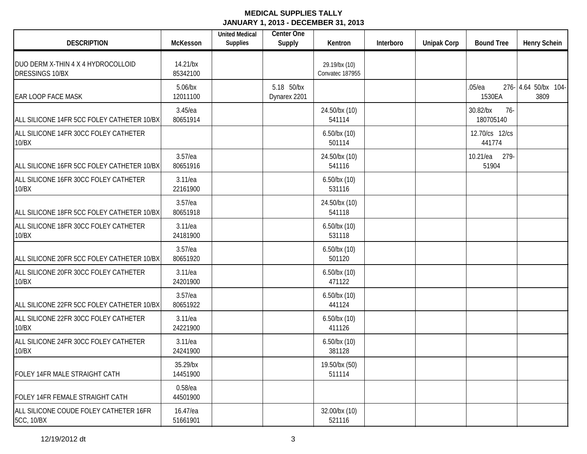| <b>DESCRIPTION</b>                                          | McKesson               | <b>United Medical</b><br><b>Supplies</b> | <b>Center One</b><br>Supply | Kentron                          | Interboro | <b>Unipak Corp</b> | <b>Bound Tree</b>              | <b>Henry Schein</b>         |
|-------------------------------------------------------------|------------------------|------------------------------------------|-----------------------------|----------------------------------|-----------|--------------------|--------------------------------|-----------------------------|
| DUO DERM X-THIN 4 X 4 HYDROCOLLOID<br>DRESSINGS 10/BX       | 14.21/bx<br>85342100   |                                          |                             | 29.19/bx (10)<br>Convatec 187955 |           |                    |                                |                             |
| <b>EAR LOOP FACE MASK</b>                                   | $5.06$ /bx<br>12011100 |                                          | 5.18 50/bx<br>Dynarex 2201  |                                  |           |                    | .05/ea<br>1530EA               | 276-4.64 50/bx 104-<br>3809 |
| ALL SILICONE 14FR 5CC FOLEY CATHETER 10/BX                  | $3.45$ /ea<br>80651914 |                                          |                             | 24.50/bx (10)<br>541114          |           |                    | 30.82/bx<br>$76-$<br>180705140 |                             |
| ALL SILICONE 14FR 30CC FOLEY CATHETER<br>10/BX              |                        |                                          |                             | $6.50$ /bx $(10)$<br>501114      |           |                    | 12.70/cs 12/cs<br>441774       |                             |
| ALL SILICONE 16FR 5CC FOLEY CATHETER 10/BX                  | $3.57$ /ea<br>80651916 |                                          |                             | 24.50/bx (10)<br>541116          |           |                    | 279-<br>10.21/ea<br>51904      |                             |
| ALL SILICONE 16FR 30CC FOLEY CATHETER<br>10/BX              | $3.11$ /ea<br>22161900 |                                          |                             | $6.50$ /bx $(10)$<br>531116      |           |                    |                                |                             |
| ALL SILICONE 18FR 5CC FOLEY CATHETER 10/BX                  | $3.57$ /ea<br>80651918 |                                          |                             | 24.50/bx (10)<br>541118          |           |                    |                                |                             |
| ALL SILICONE 18FR 30CC FOLEY CATHETER<br>10/BX              | 3.11/ea<br>24181900    |                                          |                             | $6.50$ /bx $(10)$<br>531118      |           |                    |                                |                             |
| ALL SILICONE 20FR 5CC FOLEY CATHETER 10/BX                  | $3.57$ /ea<br>80651920 |                                          |                             | $6.50$ /bx $(10)$<br>501120      |           |                    |                                |                             |
| ALL SILICONE 20FR 30CC FOLEY CATHETER<br>10/BX              | $3.11$ /ea<br>24201900 |                                          |                             | $6.50$ /bx $(10)$<br>471122      |           |                    |                                |                             |
| ALL SILICONE 22FR 5CC FOLEY CATHETER 10/BX                  | $3.57$ /ea<br>80651922 |                                          |                             | $6.50$ /bx $(10)$<br>441124      |           |                    |                                |                             |
| ALL SILICONE 22FR 30CC FOLEY CATHETER<br>10/BX              | 3.11/ea<br>24221900    |                                          |                             | $6.50$ /bx $(10)$<br>411126      |           |                    |                                |                             |
| ALL SILICONE 24FR 30CC FOLEY CATHETER<br>10/BX              | 3.11/ea<br>24241900    |                                          |                             | $6.50$ /bx $(10)$<br>381128      |           |                    |                                |                             |
| FOLEY 14FR MALE STRAIGHT CATH                               | 35.29/bx<br>14451900   |                                          |                             | 19.50/bx (50)<br>511114          |           |                    |                                |                             |
| FOLEY 14FR FEMALE STRAIGHT CATH                             | $0.58$ /ea<br>44501900 |                                          |                             |                                  |           |                    |                                |                             |
| ALL SILICONE COUDE FOLEY CATHETER 16FR<br><b>5CC, 10/BX</b> | 16.47/ea<br>51661901   |                                          |                             | 32.00/bx (10)<br>521116          |           |                    |                                |                             |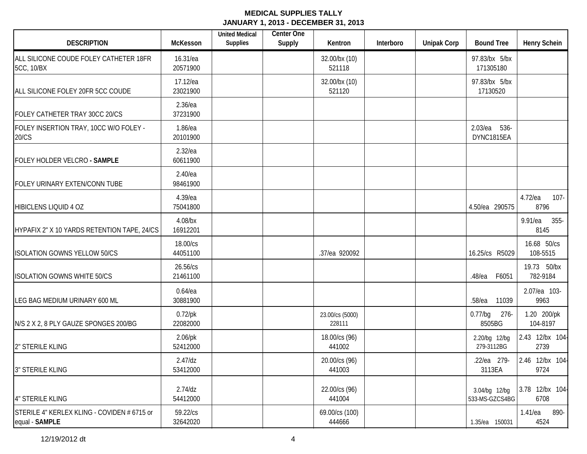| <b>DESCRIPTION</b>                                            | McKesson               | <b>United Medical</b><br><b>Supplies</b> | Center One<br>Supply | Kentron                   | Interboro | <b>Unipak Corp</b> | <b>Bound Tree</b>               | <b>Henry Schein</b>       |
|---------------------------------------------------------------|------------------------|------------------------------------------|----------------------|---------------------------|-----------|--------------------|---------------------------------|---------------------------|
| ALL SILICONE COUDE FOLEY CATHETER 18FR<br>5CC, 10/BX          | 16.31/ea<br>20571900   |                                          |                      | 32.00/bx (10)<br>521118   |           |                    | 97.83/bx 5/bx<br>171305180      |                           |
| ALL SILICONE FOLEY 20FR 5CC COUDE                             | 17.12/ea<br>23021900   |                                          |                      | 32.00/bx (10)<br>521120   |           |                    | 97.83/bx 5/bx<br>17130520       |                           |
| FOLEY CATHETER TRAY 30CC 20/CS                                | $2.36$ /ea<br>37231900 |                                          |                      |                           |           |                    |                                 |                           |
| FOLEY INSERTION TRAY, 10CC W/O FOLEY -<br>20/CS               | $1.86$ /ea<br>20101900 |                                          |                      |                           |           |                    | 2.03/ea 536-<br>DYNC1815EA      |                           |
| FOLEY HOLDER VELCRO - SAMPLE                                  | $2.32$ /ea<br>60611900 |                                          |                      |                           |           |                    |                                 |                           |
| FOLEY URINARY EXTEN/CONN TUBE                                 | $2.40$ /ea<br>98461900 |                                          |                      |                           |           |                    |                                 |                           |
| HIBICLENS LIQUID 4 OZ                                         | 4.39/ea<br>75041800    |                                          |                      |                           |           |                    | 4.50/ea 290575                  | 4.72/ea<br>107-<br>8796   |
| HYPAFIX 2" X 10 YARDS RETENTION TAPE, 24/CS                   | 4.08/bx<br>16912201    |                                          |                      |                           |           |                    |                                 | $355-$<br>9.91/ea<br>8145 |
| <b>ISOLATION GOWNS YELLOW 50/CS</b>                           | 18.00/cs<br>44051100   |                                          |                      | .37/ea 920092             |           |                    | 16.25/cs R5029                  | 16.68 50/cs<br>108-5515   |
| <b>ISOLATION GOWNS WHITE 50/CS</b>                            | 26.56/cs<br>21461100   |                                          |                      |                           |           |                    | F6051<br>$.48$ /ea              | 19.73 50/bx<br>782-9184   |
| LEG BAG MEDIUM URINARY 600 ML                                 | $0.64$ /ea<br>30881900 |                                          |                      |                           |           |                    | $.58$ /ea<br>11039              | 2.07/ea 103-<br>9963      |
| N/S 2 X 2, 8 PLY GAUZE SPONGES 200/BG                         | $0.72$ /pk<br>22082000 |                                          |                      | 23.00/cs (5000)<br>228111 |           |                    | $0.77$ /bg<br>$276 -$<br>8505BG | 1.20 200/pk<br>104-8197   |
| 2" STERILE KLING                                              | $2.06$ /pk<br>52412000 |                                          |                      | 18.00/cs (96)<br>441002   |           |                    | 2.20/bg 12/bg<br>279-3112BG     | 2.43 12/bx 104-<br>2739   |
| <b>3" STERILE KLING</b>                                       | $2.47$ /dz<br>53412000 |                                          |                      | 20.00/cs (96)<br>441003   |           |                    | .22/ea 279-<br>3113EA           | 2.46 12/bx 104-<br>9724   |
| 4" STERILE KLING                                              | $2.74$ /dz<br>54412000 |                                          |                      | 22.00/cs (96)<br>441004   |           |                    | 3.04/bg 12/bg<br>533-MS-GZCS4BG | 3.78 12/bx 104-<br>6708   |
| STERILE 4" KERLEX KLING - COVIDEN # 6715 or<br>equal - SAMPLE | 59.22/cs<br>32642020   |                                          |                      | 69.00/cs (100)<br>444666  |           |                    | 1.35/ea 150031                  | 1.41/ea<br>890-<br>4524   |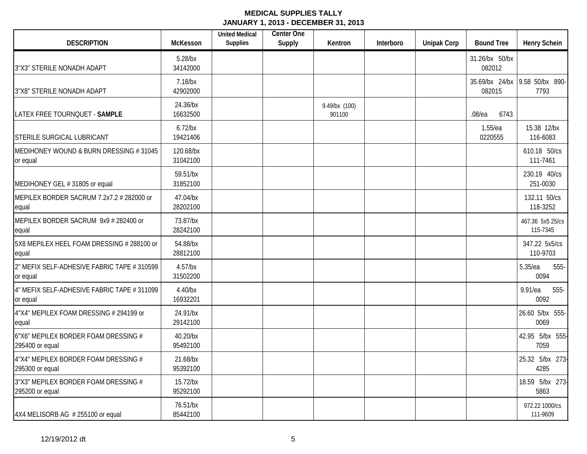| <b>DESCRIPTION</b>                                      | <b>McKesson</b>        | <b>United Medical</b><br><b>Supplies</b> | <b>Center One</b><br>Supply | Kentron                 | Interboro | <b>Unipak Corp</b> | <b>Bound Tree</b>        | <b>Henry Schein</b>                    |
|---------------------------------------------------------|------------------------|------------------------------------------|-----------------------------|-------------------------|-----------|--------------------|--------------------------|----------------------------------------|
| 3"X3" STERILE NONADH ADAPT                              | $5.28$ /bx<br>34142000 |                                          |                             |                         |           |                    | 31.26/bx 50/bx<br>082012 |                                        |
| 3"X8" STERILE NONADH ADAPT                              | $7.18$ /bx<br>42902000 |                                          |                             |                         |           |                    | 082015                   | 35.69/bx 24/bx 9.58 50/bx 890-<br>7793 |
| LATEX FREE TOURNQUET - SAMPLE                           | 24.36/bx<br>16632500   |                                          |                             | 9.49/bx (100)<br>901100 |           |                    | $.08$ /ea<br>6743        |                                        |
| <b>STERILE SURGICAL LUBRICANT</b>                       | $6.72$ /bx<br>19421406 |                                          |                             |                         |           |                    | 1.55/ea<br>0220555       | 15.38 12/bx<br>116-6083                |
| MEDIHONEY WOUND & BURN DRESSING #31045<br>or equal      | 120.68/bx<br>31042100  |                                          |                             |                         |           |                    |                          | 610.18 50/cs<br>111-7461               |
| MEDIHONEY GEL #31805 or equal                           | 59.51/bx<br>31852100   |                                          |                             |                         |           |                    |                          | 230.19 40/cs<br>251-0030               |
| MEPILEX BORDER SACRUM 7.2x7.2 # 282000 or<br>equal      | 47.04/bx<br>28202100   |                                          |                             |                         |           |                    |                          | 132.11 50/cs<br>118-3252               |
| MEPILEX BORDER SACRUM 9x9 # 282400 or<br>equal          | 73.87/bx<br>28242100   |                                          |                             |                         |           |                    |                          | 467.36 5x5 25/cs<br>115-7345           |
| 5X8 MEPILEX HEEL FOAM DRESSING # 288100 or<br>equal     | 54.88/bx<br>28812100   |                                          |                             |                         |           |                    |                          | 347.22 5x5/cs<br>110-9703              |
| 2" MEFIX SELF-ADHESIVE FABRIC TAPE # 310599<br>or equal | $4.57$ /bx<br>31502200 |                                          |                             |                         |           |                    |                          | 5.35/ea<br>555-<br>0094                |
| 4" MEFIX SELF-ADHESIVE FABRIC TAPE # 311099<br>or equal | $4.40$ /bx<br>16932201 |                                          |                             |                         |           |                    |                          | 9.91/ea<br>555-<br>0092                |
| 4"X4" MEPILEX FOAM DRESSING # 294199 or<br>equal        | 24.91/bx<br>29142100   |                                          |                             |                         |           |                    |                          | 26.60 5/bx 555-<br>0069                |
| 6"X6" MEPILEX BORDER FOAM DRESSING #<br>295400 or equal | 40.20/bx<br>95492100   |                                          |                             |                         |           |                    |                          | 42.95 5/bx 555-<br>7059                |
| 4"X4" MEPILEX BORDER FOAM DRESSING #<br>295300 or equal | 21.68/bx<br>95392100   |                                          |                             |                         |           |                    |                          | 25.32 5/bx 273-<br>4285                |
| 3"X3" MEPILEX BORDER FOAM DRESSING #<br>295200 or equal | 15.72/bx<br>95292100   |                                          |                             |                         |           |                    |                          | 18.59 5/bx 273-<br>5863                |
| 4X4 MELISORB AG # 255100 or equal                       | 76.51/bx<br>85442100   |                                          |                             |                         |           |                    |                          | 972.22 1000/cs<br>111-9609             |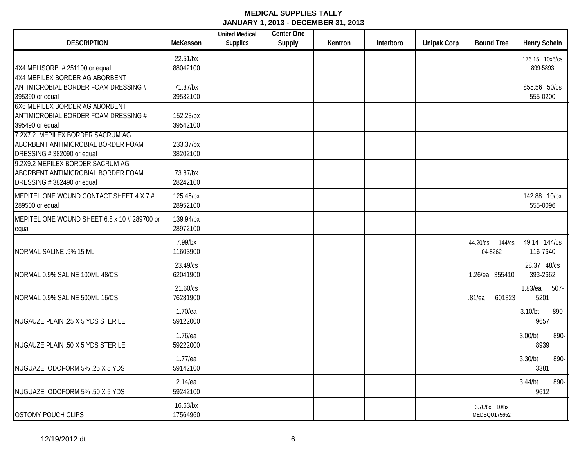| <b>DESCRIPTION</b>                                                                                                                        | McKesson                | <b>United Medical</b><br><b>Supplies</b> | Center One<br>Supply | Kentron | Interboro | <b>Unipak Corp</b> | <b>Bound Tree</b>             | <b>Henry Schein</b>           |
|-------------------------------------------------------------------------------------------------------------------------------------------|-------------------------|------------------------------------------|----------------------|---------|-----------|--------------------|-------------------------------|-------------------------------|
| 4X4 MELISORB #251100 or equal                                                                                                             | 22.51/bx<br>88042100    |                                          |                      |         |           |                    |                               | 176.15 10x5/cs<br>899-5893    |
| <b>4X4 MEPILEX BORDER AG ABORBENT</b><br>ANTIMICROBIAL BORDER FOAM DRESSING #<br>395390 or equal<br><b>6X6 MEPILEX BORDER AG ABORBENT</b> | 71.37/bx<br>39532100    |                                          |                      |         |           |                    |                               | 855.56 50/cs<br>555-0200      |
| ANTIMICROBIAL BORDER FOAM DRESSING #<br>395490 or equal                                                                                   | 152.23/bx<br>39542100   |                                          |                      |         |           |                    |                               |                               |
| 7.2X7.2 MEPILEX BORDER SACRUM AG<br>ABORBENT ANTIMICROBIAL BORDER FOAM<br>DRESSING #382090 or equal                                       | 233.37/bx<br>38202100   |                                          |                      |         |           |                    |                               |                               |
| 9.2X9.2 MEPILEX BORDER SACRUM AG<br>ABORBENT ANTIMICROBIAL BORDER FOAM<br>DRESSING #382490 or equal                                       | 73.87/bx<br>28242100    |                                          |                      |         |           |                    |                               |                               |
| MEPITEL ONE WOUND CONTACT SHEET 4 X 7 #<br>289500 or equal                                                                                | 125.45/bx<br>28952100   |                                          |                      |         |           |                    |                               | 142.88 10/bx<br>555-0096      |
| MEPITEL ONE WOUND SHEET 6.8 x 10 # 289700 or<br>equal                                                                                     | 139.94/bx<br>28972100   |                                          |                      |         |           |                    |                               |                               |
| NORMAL SALINE .9% 15 ML                                                                                                                   | 7.99/bx<br>11603900     |                                          |                      |         |           |                    | 44.20/cs 144/cs<br>04-5262    | 49.14 144/cs<br>116-7640      |
| NORMAL 0.9% SALINE 100ML 48/CS                                                                                                            | 23.49/cs<br>62041900    |                                          |                      |         |           |                    | 1.26/ea 355410                | 28.37 48/cs<br>393-2662       |
| NORMAL 0.9% SALINE 500ML 16/CS                                                                                                            | 21.60/cs<br>76281900    |                                          |                      |         |           |                    | .81/ea<br>601323              | $1.83$ /ea<br>$507 -$<br>5201 |
| NUGAUZE PLAIN .25 X 5 YDS STERILE                                                                                                         | 1.70/ea<br>59122000     |                                          |                      |         |           |                    |                               | 3.10/bt<br>890-<br>9657       |
| NUGAUZE PLAIN .50 X 5 YDS STERILE                                                                                                         | 1.76/ea<br>59222000     |                                          |                      |         |           |                    |                               | 3.00/bt<br>890-<br>8939       |
| NUGUAZE IODOFORM 5% .25 X 5 YDS                                                                                                           | $1.77$ /ea<br>59142100  |                                          |                      |         |           |                    |                               | 3.30/bt<br>890-<br>3381       |
| NUGUAZE IODOFORM 5% .50 X 5 YDS                                                                                                           | $2.14$ /ea<br>59242100  |                                          |                      |         |           |                    |                               | 3.44/bt<br>890-<br>9612       |
| <b>OSTOMY POUCH CLIPS</b>                                                                                                                 | $16.63$ /bx<br>17564960 |                                          |                      |         |           |                    | 3.70/bx 10/bx<br>MEDSQU175652 |                               |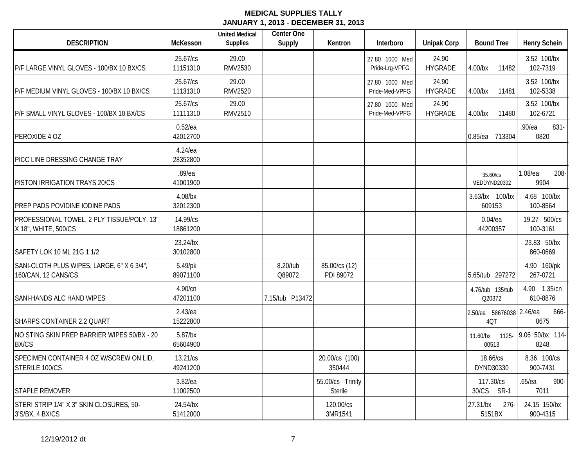| <b>DESCRIPTION</b>                                                 | <b>McKesson</b>        | <b>United Medical</b><br><b>Supplies</b> | Center One<br>Supply | Kentron                            | Interboro                        | <b>Unipak Corp</b>      | <b>Bound Tree</b>               | <b>Henry Schein</b>      |
|--------------------------------------------------------------------|------------------------|------------------------------------------|----------------------|------------------------------------|----------------------------------|-------------------------|---------------------------------|--------------------------|
| P/F LARGE VINYL GLOVES - 100/BX 10 BX/CS                           | 25.67/cs<br>11151310   | 29.00<br><b>RMV2530</b>                  |                      |                                    | 27.80 1000 Med<br>Pride-Lrg-VPFG | 24.90<br><b>HYGRADE</b> | $4.00$ /bx<br>11482             | 3.52 100/bx<br>102-7319  |
| P/F MEDIUM VINYL GLOVES - 100/BX 10 BX/CS                          | 25.67/cs<br>11131310   | 29.00<br><b>RMV2520</b>                  |                      |                                    | 27.80 1000 Med<br>Pride-Med-VPFG | 24.90<br><b>HYGRADE</b> | 4.00/bx<br>11481                | 3.52 100/bx<br>102-5338  |
| P/F SMALL VINYL GLOVES - 100/BX 10 BX/CS                           | 25.67/cs<br>11111310   | 29.00<br><b>RMV2510</b>                  |                      |                                    | 27.80 1000 Med<br>Pride-Med-VPFG | 24.90<br><b>HYGRADE</b> | 4.00/bx<br>11480                | 3.52 100/bx<br>102-6721  |
| PEROXIDE 4 OZ                                                      | $0.52$ /ea<br>42012700 |                                          |                      |                                    |                                  |                         | 0.85/ea 713304                  | .90/ea<br>831-<br>0820   |
| PICC LINE DRESSING CHANGE TRAY                                     | 4.24/ea<br>28352800    |                                          |                      |                                    |                                  |                         |                                 |                          |
| PISTON IRRIGATION TRAYS 20/CS                                      | .89/ea<br>41001900     |                                          |                      |                                    |                                  |                         | 35.60/cs<br>MEDDYND20302        | 1.08/ea<br>208-<br>9904  |
| PREP PADS POVIDINE IODINE PADS                                     | 4.08/bx<br>32012300    |                                          |                      |                                    |                                  |                         | 3.63/bx 100/bx<br>609153        | 4.68 100/bx<br>100-8564  |
| PROFESSIONAL TOWEL, 2 PLY TISSUE/POLY, 13"<br>X 18", WHITE, 500/CS | 14.99/cs<br>18861200   |                                          |                      |                                    |                                  |                         | $0.04$ /ea<br>44200357          | 19.27 500/cs<br>100-3161 |
| SAFETY LOK 10 ML 21G 1 1/2                                         | 23.24/bx<br>30102800   |                                          |                      |                                    |                                  |                         |                                 | 23.83 50/bx<br>860-0669  |
| SANI-CLOTH PLUS WIPES, LARGE, 6" X 6 3/4",<br>160/CAN, 12 CANS/CS  | 5.49/pk<br>89071100    |                                          | 8.20/tub<br>Q89072   | 85.00/cs (12)<br>PDI 89072         |                                  |                         | 5.65/tub 297272                 | 4.90 160/pk<br>267-0721  |
| SANI-HANDS ALC HAND WIPES                                          | 4.90/cn<br>47201100    |                                          | 7.15/tub P13472      |                                    |                                  |                         | 4.76/tub 135/tub<br>Q20372      | 4.90 1.35/cn<br>610-8876 |
| SHARPS CONTAINER 2.2 QUART                                         | $2.43$ /ea<br>15222800 |                                          |                      |                                    |                                  |                         | 2.50/ea 58676038 2.46/ea<br>4QT | 666-<br>0675             |
| NO STING SKIN PREP BARRIER WIPES 50/BX - 20<br><b>BX/CS</b>        | $5.87$ /bx<br>65604900 |                                          |                      |                                    |                                  |                         | 11.60/bx 1125-<br>00513         | 9.06 50/bx 114-<br>8248  |
| SPECIMEN CONTAINER 4 OZ W/SCREW ON LID,<br>STERILE 100/CS          | 13.21/cs<br>49241200   |                                          |                      | 20.00/cs (100)<br>350444           |                                  |                         | 18.66/cs<br>DYND30330           | 8.36 100/cs<br>900-7431  |
| <b>STAPLE REMOVER</b>                                              | $3.82$ /ea<br>11002500 |                                          |                      | 55.00/cs Trinity<br><b>Sterile</b> |                                  |                         | 117.30/cs<br>30/CS SR-1         | 900-<br>.65/ea<br>7011   |
| STERI STRIP 1/4" X 3" SKIN CLOSURES, 50-<br>3'S/BX, 4 BX/CS        | 24.54/bx<br>51412000   |                                          |                      | 120.00/cs<br>3MR1541               |                                  |                         | 27.31/bx<br>$276 -$<br>5151BX   | 24.15 150/bx<br>900-4315 |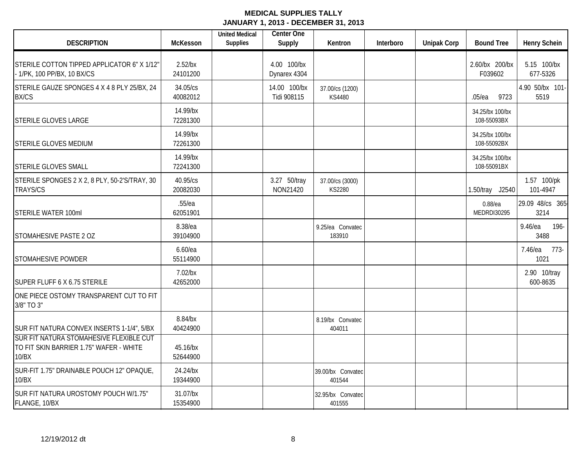| <b>DESCRIPTION</b>                                                                          | McKesson               | <b>United Medical</b><br><b>Supplies</b> | <b>Center One</b><br>Supply | Kentron                          | Interboro | <b>Unipak Corp</b> | <b>Bound Tree</b>              | <b>Henry Schein</b>      |
|---------------------------------------------------------------------------------------------|------------------------|------------------------------------------|-----------------------------|----------------------------------|-----------|--------------------|--------------------------------|--------------------------|
| STERILE COTTON TIPPED APPLICATOR 6" X 1/12"<br>- 1/PK, 100 PP/BX, 10 BX/CS                  | $2.52$ /bx<br>24101200 |                                          | 4.00 100/bx<br>Dynarex 4304 |                                  |           |                    | 2.60/bx 200/bx<br>F039602      | 5.15 100/bx<br>677-5326  |
| STERILE GAUZE SPONGES 4 X 4 8 PLY 25/BX, 24<br><b>BX/CS</b>                                 | 34.05/cs<br>40082012   |                                          | 14.00 100/bx<br>Tidi 908115 | 37.00/cs (1200)<br><b>KS4480</b> |           |                    | $.05$ /ea<br>9723              | 4.90 50/bx 101-<br>5519  |
| STERILE GLOVES LARGE                                                                        | 14.99/bx<br>72281300   |                                          |                             |                                  |           |                    | 34.25/bx 100/bx<br>108-55093BX |                          |
| STERILE GLOVES MEDIUM                                                                       | 14.99/bx<br>72261300   |                                          |                             |                                  |           |                    | 34.25/bx 100/bx<br>108-55092BX |                          |
| <b>STERILE GLOVES SMALL</b>                                                                 | 14.99/bx<br>72241300   |                                          |                             |                                  |           |                    | 34.25/bx 100/bx<br>108-55091BX |                          |
| STERILE SPONGES 2 X 2, 8 PLY, 50-2'S/TRAY, 30<br><b>TRAYS/CS</b>                            | 40.95/cs<br>20082030   |                                          | 3.27 50/tray<br>NON21420    | 37.00/cs (3000)<br>KS2280        |           |                    | 1.50/tray J2540                | 1.57 100/pk<br>101-4947  |
| STERILE WATER 100ml                                                                         | $.55$ /ea<br>62051901  |                                          |                             |                                  |           |                    | $0.88$ /ea<br>MEDRDI30295      | 29.09 48/cs 365-<br>3214 |
| STOMAHESIVE PASTE 2 OZ                                                                      | 8.38/ea<br>39104900    |                                          |                             | 9.25/ea Convatec<br>183910       |           |                    |                                | 9.46/ea<br>196-<br>3488  |
| STOMAHESIVE POWDER                                                                          | $6.60$ /ea<br>55114900 |                                          |                             |                                  |           |                    |                                | 773-<br>7.46/ea<br>1021  |
| SUPER FLUFF 6 X 6.75 STERILE                                                                | $7.02$ /bx<br>42652000 |                                          |                             |                                  |           |                    |                                | 2.90 10/tray<br>600-8635 |
| ONE PIECE OSTOMY TRANSPARENT CUT TO FIT<br>3/8" TO 3"                                       |                        |                                          |                             |                                  |           |                    |                                |                          |
| SUR FIT NATURA CONVEX INSERTS 1-1/4", 5/BX                                                  | 8.84/bx<br>40424900    |                                          |                             | 8.19/bx Convatec<br>404011       |           |                    |                                |                          |
| SUR FIT NATURA STOMAHESIVE FLEXIBLE CUT<br>TO FIT SKIN BARRIER 1.75" WAFER - WHITE<br>10/BX | 45.16/bx<br>52644900   |                                          |                             |                                  |           |                    |                                |                          |
| SUR-FIT 1.75" DRAINABLE POUCH 12" OPAQUE,<br>10/BX                                          | 24.24/bx<br>19344900   |                                          |                             | 39.00/bx Convatec<br>401544      |           |                    |                                |                          |
| SUR FIT NATURA UROSTOMY POUCH W/1.75"<br>FLANGE, 10/BX                                      | 31.07/bx<br>15354900   |                                          |                             | 32.95/bx Convatec<br>401555      |           |                    |                                |                          |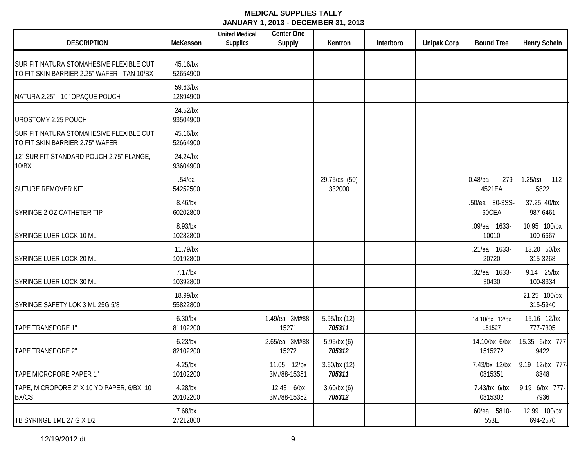| <b>DESCRIPTION</b>                                                                     | McKesson               | <b>United Medical</b><br><b>Supplies</b> | Center One<br>Supply       | Kentron                     | Interboro | <b>Unipak Corp</b> | <b>Bound Tree</b>            | <b>Henry Schein</b>           |
|----------------------------------------------------------------------------------------|------------------------|------------------------------------------|----------------------------|-----------------------------|-----------|--------------------|------------------------------|-------------------------------|
| SUR FIT NATURA STOMAHESIVE FLEXIBLE CUT<br>TO FIT SKIN BARRIER 2.25" WAFER - TAN 10/BX | 45.16/bx<br>52654900   |                                          |                            |                             |           |                    |                              |                               |
| NATURA 2.25" - 10" OPAQUE POUCH                                                        | 59.63/bx<br>12894900   |                                          |                            |                             |           |                    |                              |                               |
| <b>UROSTOMY 2.25 POUCH</b>                                                             | 24.52/bx<br>93504900   |                                          |                            |                             |           |                    |                              |                               |
| SUR FIT NATURA STOMAHESIVE FLEXIBLE CUT<br>TO FIT SKIN BARRIER 2.75" WAFER             | 45.16/bx<br>52664900   |                                          |                            |                             |           |                    |                              |                               |
| 12" SUR FIT STANDARD POUCH 2.75" FLANGE,<br>10/BX                                      | 24.24/bx<br>93604900   |                                          |                            |                             |           |                    |                              |                               |
| <b>SUTURE REMOVER KIT</b>                                                              | $.54$ /ea<br>54252500  |                                          |                            | 29.75/cs (50)<br>332000     |           |                    | $0.48$ /ea<br>279-<br>4521EA | $1.25$ /ea<br>$112 -$<br>5822 |
| SYRINGE 2 OZ CATHETER TIP                                                              | 8.46/bx<br>60202800    |                                          |                            |                             |           |                    | .50/ea 80-3SS-<br>60CEA      | 37.25 40/bx<br>987-6461       |
| SYRINGE LUER LOCK 10 ML                                                                | 8.93/bx<br>10282800    |                                          |                            |                             |           |                    | .09/ea 1633-<br>10010        | 10.95 100/bx<br>100-6667      |
| SYRINGE LUER LOCK 20 ML                                                                | 11.79/bx<br>10192800   |                                          |                            |                             |           |                    | .21/ea 1633-<br>20720        | 13.20 50/bx<br>315-3268       |
| SYRINGE LUER LOCK 30 ML                                                                | $7.17$ /bx<br>10392800 |                                          |                            |                             |           |                    | .32/ea 1633-<br>30430        | 9.14 25/bx<br>100-8334        |
| SYRINGE SAFETY LOK 3 ML 25G 5/8                                                        | 18.99/bx<br>55822800   |                                          |                            |                             |           |                    |                              | 21.25 100/bx<br>315-5940      |
| TAPE TRANSPORE 1"                                                                      | $6.30$ /bx<br>81102200 |                                          | 1.49/ea 3M#88-<br>15271    | 5.95/bx (12)<br>705311      |           |                    | 14.10/bx 12/bx<br>151527     | 15.16 12/bx<br>777-7305       |
| <b>TAPE TRANSPORE 2"</b>                                                               | $6.23$ /bx<br>82102200 |                                          | 2.65/ea 3M#88-<br>15272    | 5.95/bx(6)<br>705312        |           |                    | 14.10/bx 6/bx<br>1515272     | 15.35 6/bx 777-<br>9422       |
| TAPE MICROPORE PAPER 1"                                                                | $4.25$ /bx<br>10102200 |                                          | 11.05 12/bx<br>3M#88-15351 | $3.60$ /bx $(12)$<br>705311 |           |                    | 7.43/bx 12/bx<br>0815351     | 9.19 12/bx 777-<br>8348       |
| TAPE, MICROPORE 2" X 10 YD PAPER, 6/BX, 10<br><b>BX/CS</b>                             | $4.28$ /bx<br>20102200 |                                          | 12.43 6/bx<br>3M#88-15352  | 3.60/bx(6)<br>705312        |           |                    | 7.43/bx 6/bx<br>0815302      | 9.19 6/bx 777-<br>7936        |
| TB SYRINGE 1ML 27 G X 1/2                                                              | 7.68/bx<br>27212800    |                                          |                            |                             |           |                    | .60/ea 5810-<br>553E         | 12.99 100/bx<br>694-2570      |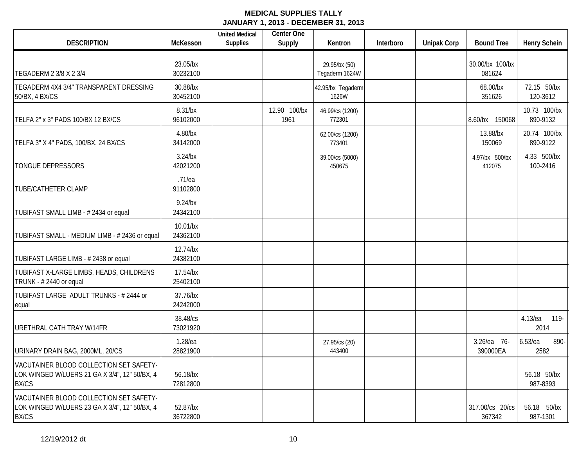| <b>DESCRIPTION</b>                                                                                       | McKesson               | <b>United Medical</b><br><b>Supplies</b> | <b>Center One</b><br>Supply | Kentron                         | Interboro | <b>Unipak Corp</b> | <b>Bound Tree</b>         | <b>Henry Schein</b>        |
|----------------------------------------------------------------------------------------------------------|------------------------|------------------------------------------|-----------------------------|---------------------------------|-----------|--------------------|---------------------------|----------------------------|
| TEGADERM 2 3/8 X 2 3/4                                                                                   | 23.05/bx<br>30232100   |                                          |                             | 29.95/bx (50)<br>Tegaderm 1624W |           |                    | 30.00/bx 100/bx<br>081624 |                            |
| TEGADERM 4X4 3/4" TRANSPARENT DRESSING<br>50/BX, 4 BX/CS                                                 | 30.88/bx<br>30452100   |                                          |                             | 42.95/bx Tegaderm<br>1626W      |           |                    | 68.00/bx<br>351626        | 72.15 50/bx<br>120-3612    |
| TELFA 2" x 3" PADS 100/BX 12 BX/CS                                                                       | 8.31/bx<br>96102000    |                                          | 12.90 100/bx<br>1961        | 46.99/cs (1200)<br>772301       |           |                    | 8.60/bx 150068            | 10.73 100/bx<br>890-9132   |
| TELFA 3" X 4" PADS, 100/BX, 24 BX/CS                                                                     | 4.80/bx<br>34142000    |                                          |                             | 62.00/cs (1200)<br>773401       |           |                    | 13.88/bx<br>150069        | 20.74 100/bx<br>890-9122   |
| TONGUE DEPRESSORS                                                                                        | $3.24$ /bx<br>42021200 |                                          |                             | 39.00/cs (5000)<br>450675       |           |                    | 4.97/bx 500/bx<br>412075  | 4.33 500/bx<br>100-2416    |
| TUBE/CATHETER CLAMP                                                                                      | $.71$ /ea<br>91102800  |                                          |                             |                                 |           |                    |                           |                            |
| TUBIFAST SMALL LIMB - #2434 or equal                                                                     | $9.24$ /bx<br>24342100 |                                          |                             |                                 |           |                    |                           |                            |
| TUBIFAST SMALL - MEDIUM LIMB - # 2436 or equal                                                           | 10.01/bx<br>24362100   |                                          |                             |                                 |           |                    |                           |                            |
| TUBIFAST LARGE LIMB - # 2438 or equal                                                                    | 12.74/bx<br>24382100   |                                          |                             |                                 |           |                    |                           |                            |
| TUBIFAST X-LARGE LIMBS, HEADS, CHILDRENS<br>TRUNK - #2440 or equal                                       | 17.54/bx<br>25402100   |                                          |                             |                                 |           |                    |                           |                            |
| TUBIFAST LARGE ADULT TRUNKS - #2444 or<br>equal                                                          | 37.76/bx<br>24242000   |                                          |                             |                                 |           |                    |                           |                            |
| URETHRAL CATH TRAY W/14FR                                                                                | 38.48/cs<br>73021920   |                                          |                             |                                 |           |                    |                           | 4.13/ea<br>119-<br>2014    |
| URINARY DRAIN BAG, 2000ML, 20/CS                                                                         | 1.28/ea<br>28821900    |                                          |                             | 27.95/cs (20)<br>443400         |           |                    | 3.26/ea 76-<br>390000EA   | $6.53$ /ea<br>890-<br>2582 |
| VACUTAINER BLOOD COLLECTION SET SAFETY-<br>LOK WINGED W/LUERS 21 GA X 3/4", 12" 50/BX, 4<br><b>BX/CS</b> | 56.18/bx<br>72812800   |                                          |                             |                                 |           |                    |                           | 56.18 50/bx<br>987-8393    |
| VACUTAINER BLOOD COLLECTION SET SAFETY-<br>LOK WINGED W/LUERS 23 GA X 3/4", 12" 50/BX, 4<br><b>BX/CS</b> | 52.87/bx<br>36722800   |                                          |                             |                                 |           |                    | 317.00/cs 20/cs<br>367342 | 56.18 50/bx<br>987-1301    |